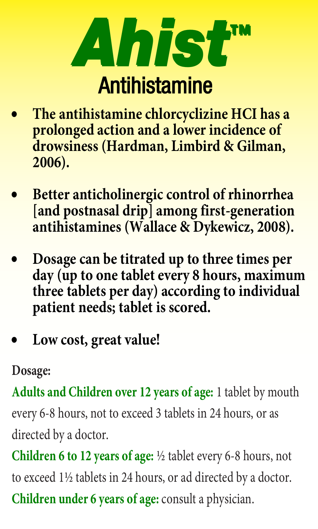

- **The antihistamine chlorcyclizine HCI has a prolonged action and a lower incidence of drowsiness (Hardman, Limbird & Gilman, 2006).**
- **Better anticholinergic control of rhinorrhea [and postnasal drip] among first-generation antihistamines (Wallace & Dykewicz, 2008).**
- **Dosage can be titrated up to three times per day (up to one tablet every 8 hours, maximum three tablets per day) according to individual patient needs; tablet is scored.**
- **Low cost, great value!**

# **Dosage:**

**Adults and Children over 12 years of age:** 1 tablet by mouth every 6-8 hours, not to exceed 3 tablets in 24 hours, or as directed by a doctor.

**Children 6 to 12 years of age:** ½ tablet every 6-8 hours, not to exceed 1½ tablets in 24 hours, or ad directed by a doctor. **Children under 6 years of age:** consult a physician.